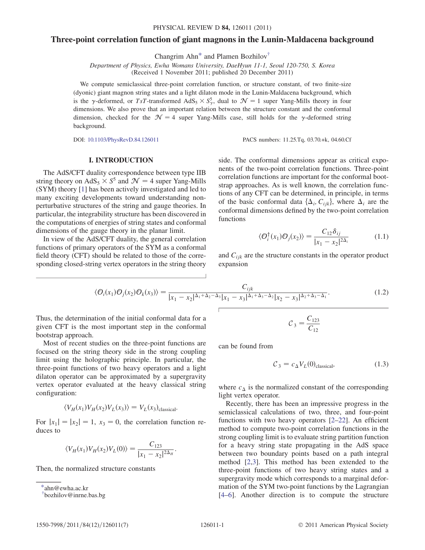# <span id="page-0-2"></span>Three-point correlation function of giant magnons in the Lunin-Maldacena background

Changrim Ahn[\\*](#page-0-0) and Plamen Bozhilo[v†](#page-0-1)

Department of Physics, Ewha Womans University, DaeHyun 11-1, Seoul 120-750, S. Korea (Received 1 November 2011; published 20 December 2011)

We compute semiclassical three-point correlation function, or structure constant, of two finite-size (dyonic) giant magnon string states and a light dilaton mode in the Lunin-Maldacena background, which is the  $\gamma$ -deformed, or TsT-transformed AdS<sub>5</sub>  $\times$  S<sub>2</sub><sup>5</sup>, dual to  $\mathcal{N} = 1$  super Yang-Mills theory in four dimensions. We also prove that an important relation between the structure constant and the conformal dimensions. We also prove that an important relation between the structure constant and the conformal dimension, checked for the  $\mathcal{N} = 4$  super Yang-Mills case, still holds for the  $\gamma$ -deformed string background.

DOI: [10.1103/PhysRevD.84.126011](http://dx.doi.org/10.1103/PhysRevD.84.126011) PACS numbers: 11.25.Tq, 03.70.+k, 04.60.Cf

## I. INTRODUCTION

The AdS/CFT duality correspondence between type IIB string theory on AdS<sub>5</sub>  $\times$  S<sup>5</sup> and  $\mathcal{N} = 4$  super Yang-Mills (SYM) theory [[1](#page-5-0)] has been actively investigated and led to many exciting developments toward understanding nonperturbative structures of the string and gauge theories. In particular, the integrability structure has been discovered in the computations of energies of string states and conformal dimensions of the gauge theory in the planar limit.

In view of the AdS/CFT duality, the general correlation functions of primary operators of the SYM as a conformal field theory (CFT) should be related to those of the corresponding closed-string vertex operators in the string theory side. The conformal dimensions appear as critical exponents of the two-point correlation functions. Three-point correlation functions are important for the conformal bootstrap approaches. As is well known, the correlation functions of any CFT can be determined, in principle, in terms of the basic conformal data  $\{\Delta_i, C_{ijk}\}\$ , where  $\Delta_i$  are the conformal dimensions defined by the two-point correlation functions

$$
\langle \mathcal{O}_i^{\dagger}(x_1) \mathcal{O}_j(x_2) \rangle = \frac{C_{12} \delta_{ij}}{|x_1 - x_2|^{2\Delta_i}} \tag{1.1}
$$

and  $C_{ijk}$  are the structure constants in the operator product expansion

$$
\langle \mathcal{O}_i(x_1) \mathcal{O}_j(x_2) \mathcal{O}_k(x_3) \rangle = \frac{C_{ijk}}{|x_1 - x_2|^{\Delta_1 + \Delta_2 - \Delta_3} |x_1 - x_3|^{\Delta_1 + \Delta_3 - \Delta_2} |x_2 - x_3|^{\Delta_2 + \Delta_3 - \Delta_1}}.
$$
(1.2)

Thus, the determination of the initial conformal data for a given CFT is the most important step in the conformal bootstrap approach.

Most of recent studies on the three-point functions are focused on the string theory side in the strong coupling limit using the holographic principle. In particular, the three-point functions of two heavy operators and a light dilaton operator can be approximated by a supergravity vertex operator evaluated at the heavy classical string configuration:

$$
\langle V_H(x_1) V_H(x_2) V_L(x_3) \rangle = V_L(x_3)_{\text{classical}}.
$$

For  $|x_1|=|x_2|=1$ ,  $x_3=0$ , the correlation function reduces to

$$
\langle V_H(x_1) V_H(x_2) V_L(0) \rangle = \frac{C_{123}}{|x_1 - x_2|^{2\Delta_H}}.
$$

Then, the normalized structure constants

$$
C_3 = \frac{C_{123}}{C_{12}}
$$

<span id="page-0-3"></span>can be found from

$$
C_3 = c_{\Delta} V_L(0)_{\text{classical}}, \tag{1.3}
$$

where  $c_{\Delta}$  is the normalized constant of the corresponding light vertex operator.

Recently, there has been an impressive progress in the semiclassical calculations of two, three, and four-point functions with two heavy operators [\[2](#page-5-1)–[22](#page-6-0)]. An efficient method to compute two-point correlation functions in the strong coupling limit is to evaluate string partition function for a heavy string state propagating in the AdS space between two boundary points based on a path integral method [[2](#page-5-1),[3](#page-5-2)]. This method has been extended to the three-point functions of two heavy string states and a supergravity mode which corresponds to a marginal deformation of the SYM two-point functions by the Lagrangian [\[4–](#page-5-3)[6](#page-5-4)]. Another direction is to compute the structure

<span id="page-0-0"></span>[<sup>\\*</sup>a](#page-0-2)hn@ewha.ac.kr

<span id="page-0-1"></span>[<sup>†</sup>](#page-0-2) bozhilov@inrne.bas.bg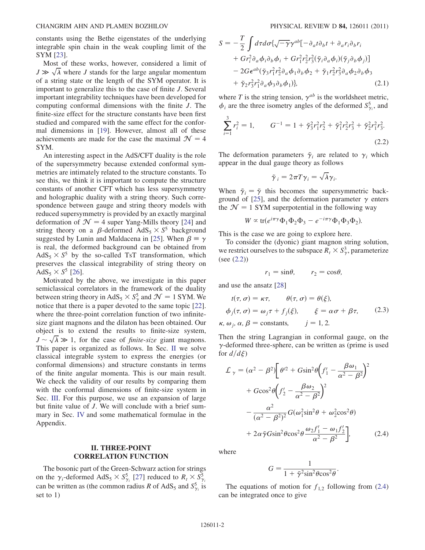constants using the Bethe eigenstates of the underlying integrable spin chain in the weak coupling limit of the SYM [[23](#page-6-1)].

Most of these works, however, considered a limit of  $J \gg \sqrt{\lambda}$  where J stands for the large angular momentum<br>of a string state or the length of the SYM operator. It is of a string state or the length of the SYM operator. It is important to generalize this to the case of finite J. Several important integrability techniques have been developed for computing conformal dimensions with the finite J. The finite-size effect for the structure constants have been first studied and compared with the same effect for the conformal dimensions in [[19](#page-5-5)]. However, almost all of these achievements are made for the case the maximal  $\mathcal{N} = 4$ SYM.

An interesting aspect in the AdS/CFT duality is the role of the supersymmetry because extended conformal symmetries are intimately related to the structure constants. To see this, we think it is important to compute the structure constants of another CFT which has less supersymmetry and holographic duality with a string theory. Such correspondence between gauge and string theory models with reduced supersymmetry is provided by an exactly marginal deformation of  $\mathcal{N} = 4$  super Yang-Mills theory [[24](#page-6-2)] and string theory on a  $\beta$ -deformed AdS<sub>5</sub>  $\times$  S<sup>5</sup> background suggested by Lunin and Maldacena in [[25](#page-6-3)]. When  $\beta \equiv \gamma$ is real, the deformed background can be obtained from  $AdS_5 \times S^5$  by the so-called TsT transformation, which preserves the classical integrability of string theory on AdS<sub>5</sub>  $\times$  S<sup>5</sup> [\[26\]](#page-6-4).

Motivated by the above, we investigate in this paper semiclassical correlators in the framework of the duality between string theory in AdS<sub>5</sub>  $\times$  S<sub>7</sub><sup>5</sup> and  $\mathcal{N} = 1$  SYM. We notice that there is a paper devoted to the same topic [22] notice that there is a paper devoted to the same topic [[22\]](#page-6-0). where the three-point correlation function of two infinitesize giant magnons and the dilaton has been obtained. Our object is to extend the results to finite-size system,  $J \sim \sqrt{\lambda} \gg 1$ , for the case of *finite-size* giant magnons.<br>This paper is organized as follows In Sec. II we solve This paper is organized as follows. In Sec. [II](#page-1-0) we solve classical integrable system to express the energies (or conformal dimensions) and structure constants in terms of the finite angular momenta. This is our main result. We check the validity of our results by comparing them with the conformal dimensions of finite-size system in Sec. [III](#page-3-0). For this purpose, we use an expansion of large but finite value of J. We will conclude with a brief summary in Sec. [IV](#page-4-0) and some mathematical formulae in the Appendix.

## II. THREE-POINT CORRELATION FUNCTION

The bosonic part of the Green-Schwarz action for strings on the  $\gamma_i$ -deformed AdS<sub>5</sub>  $\times$  S<sub> $\gamma_i$ </sub> [\[27\]](#page-6-5) reduced to  $R_t \times S_{\gamma_i}^5$ can be written as (the common radius R of AdS<sub>5</sub> and  $S_{\gamma_i}^5$  is set to 1)

$$
S = -\frac{T}{2} \int d\tau d\sigma \{ \sqrt{-\gamma} \gamma^{ab} [-\partial_a t \partial_b t + \partial_a r_i \partial_b r_i + G r_i^2 \partial_a \phi_i \partial_b \phi_i + G r_1^2 r_2^2 r_3^2 (\tilde{\gamma}_i \partial_a \phi_i) (\tilde{\gamma}_j \partial_b \phi_j)] - 2 G \epsilon^{ab} (\tilde{\gamma}_3 r_1^2 r_2^2 \partial_a \phi_1 \partial_b \phi_2 + \tilde{\gamma}_1 r_2^2 r_3^2 \partial_a \phi_2 \partial_b \phi_3 + \tilde{\gamma}_2 r_3^2 r_1^2 \partial_a \phi_3 \partial_b \phi_1) \}, \tag{2.1}
$$

where T is the string tension,  $\gamma^{ab}$  is the worldsheet metric,  $\phi_i$  are the three isometry angles of the deformed  $S_{\gamma_i}^5$ , and

<span id="page-1-1"></span>
$$
\sum_{i=1}^{3} r_i^2 = 1, \qquad G^{-1} = 1 + \tilde{\gamma}_3^2 r_1^2 r_2^2 + \tilde{\gamma}_1^2 r_2^2 r_3^2 + \tilde{\gamma}_2^2 r_1^2 r_3^2.
$$
\n(2.2)

<span id="page-1-0"></span>The deformation parameters  $\tilde{\gamma}_i$  are related to  $\gamma_i$  which appear in the dual gauge theory as follows

$$
\tilde{\gamma}_i = 2\pi T \gamma_i = \sqrt{\lambda} \gamma_i.
$$

When  $\tilde{\gamma}_i = \tilde{\gamma}$  this becomes the supersymmetric back-ground of [\[25\]](#page-6-3), and the deformation parameter  $\gamma$  enters the  $\mathcal{N} = 1$  SYM superpotential in the following way

$$
W \propto \text{tr}(e^{i\pi\gamma}\Phi_1\Phi_2\Phi_3 - e^{-i\pi\gamma}\Phi_1\Phi_3\Phi_2).
$$

This is the case we are going to explore here.

To consider the (dyonic) giant magnon string solution, we restrict ourselves to the subspace  $\overline{R}_t \times S^3_{\gamma}$ , parameterize  $\left(\frac{\zeta_{\text{eq}}}{\zeta_{\text{eq}}}\right)$ (see [\(2.2\)](#page-1-1))

$$
r_1 = \sin \theta, \qquad r_2 = \cos \theta,
$$

and use the ansatz [[28](#page-6-6)]

$$
t(\tau, \sigma) = \kappa \tau, \qquad \theta(\tau, \sigma) = \theta(\xi),
$$
  
\n
$$
\phi_j(\tau, \sigma) = \omega_j \tau + f_j(\xi), \qquad \xi = \alpha \sigma + \beta \tau,
$$
  
\n
$$
\kappa, \omega_j, \alpha, \beta = \text{constants}, \qquad j = 1, 2.
$$
\n(2.3)

Then the string Lagrangian in conformal gauge, on the  $\gamma$ -deformed three-sphere, can be written as (prime is used for  $d/d\xi$ )

<span id="page-1-2"></span>
$$
\mathcal{L}_{\gamma} = (\alpha^2 - \beta^2) \left[ \theta^2 + G \sin^2 \theta \left( f_1' - \frac{\beta \omega_1}{\alpha^2 - \beta^2} \right)^2 + G \cos^2 \theta \left( f_2' - \frac{\beta \omega_2}{\alpha^2 - \beta^2} \right)^2 - \frac{\alpha^2}{(\alpha^2 - \beta^2)^2} G (\omega_1^2 \sin^2 \theta + \omega_2^2 \cos^2 \theta) + 2 \alpha \tilde{\gamma} G \sin^2 \theta \cos^2 \theta \frac{\omega_2 f_1' - \omega_1 f_2'}{\alpha^2 - \beta^2} \right], \tag{2.4}
$$

where

$$
G = \frac{1}{1 + \tilde{\gamma}^2 \sin^2 \theta \cos^2 \theta}.
$$

The equations of motion for  $f_{1,2}$  following from [\(2.4\)](#page-1-2) can be integrated once to give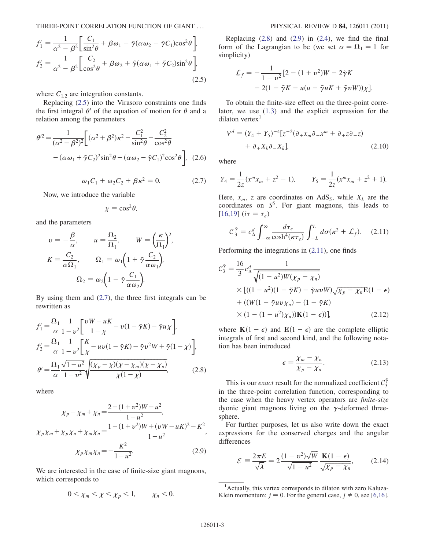THREE-POINT CORRELATION FUNCTION OF GIANT ... PHYSICAL REVIEW D 84, 126011 (2011)

<span id="page-2-0"></span>
$$
f_1' = \frac{1}{\alpha^2 - \beta^2} \left[ \frac{C_1}{\sin^2 \theta} + \beta \omega_1 - \tilde{\gamma} (\alpha \omega_2 - \tilde{\gamma} C_1) \cos^2 \theta \right],
$$
  

$$
f_2' = \frac{1}{\alpha^2 - \beta^2} \left[ \frac{C_2}{\cos^2 \theta} + \beta \omega_2 + \tilde{\gamma} (\alpha \omega_1 + \tilde{\gamma} C_2) \sin^2 \theta \right],
$$
  
(2.5)

where  $C_{1,2}$  are integration constants.

Replacing [\(2.5\)](#page-2-0) into the Virasoro constraints one finds the first integral  $\theta'$  of the equation of motion for  $\theta$  and a relation among the parameters

<span id="page-2-1"></span>
$$
\theta'^2 = \frac{1}{(\alpha^2 - \beta^2)^2} \bigg[ (\alpha^2 + \beta^2) \kappa^2 - \frac{C_1^2}{\sin^2 \theta} - \frac{C_2^2}{\cos^2 \theta} - (\alpha \omega_1 + \tilde{\gamma} C_2)^2 \sin^2 \theta - (\alpha \omega_2 - \tilde{\gamma} C_1)^2 \cos^2 \theta \bigg], \quad (2.6)
$$

$$
\omega_1 C_1 + \omega_2 C_2 + \beta \kappa^2 = 0. \tag{2.7}
$$

Now, we introduce the variable

$$
\chi = \cos^2 \theta,
$$

and the parameters

$$
v = -\frac{\beta}{\alpha}, \qquad u = \frac{\Omega_2}{\Omega_1}, \qquad W = \left(\frac{\kappa}{\Omega_1}\right)^2,
$$
  

$$
K = \frac{C_2}{\alpha \Omega_1}, \qquad \Omega_1 = \omega_1 \left(1 + \tilde{\gamma} \frac{C_2}{\alpha \omega_1}\right),
$$
  

$$
\Omega_2 = \omega_2 \left(1 - \tilde{\gamma} \frac{C_1}{\alpha \omega_2}\right).
$$

<span id="page-2-2"></span>By using them and ([2.7\)](#page-2-1), the three first integrals can be rewritten as

$$
f'_{1} = \frac{\Omega_{1}}{\alpha} \frac{1}{1 - v^{2}} \left[ \frac{vW - uK}{1 - \chi} - v(1 - \tilde{\gamma}K) - \tilde{\gamma}u\chi \right],
$$
  
\n
$$
f'_{2} = \frac{\Omega_{1}}{\alpha} \frac{1}{1 - v^{2}} \left[ \frac{K}{\chi} - uv(1 - \tilde{\gamma}K) - \tilde{\gamma}v^{2}W + \tilde{\gamma}(1 - \chi) \right],
$$
  
\n
$$
\theta' = \frac{\Omega_{1}}{\alpha} \frac{\sqrt{1 - u^{2}}}{1 - v^{2}} \sqrt{\frac{(\chi_{p} - \chi)(\chi - \chi_{m})(\chi - \chi_{n})}{\chi(1 - \chi)}},
$$
\n(2.8)

<span id="page-2-3"></span>where

$$
\chi_p + \chi_m + \chi_n = \frac{2 - (1 + v^2)W - u^2}{1 - u^2},
$$
  

$$
\chi_p \chi_m + \chi_p \chi_n + \chi_m \chi_n = \frac{1 - (1 + v^2)W + (vW - uK)^2 - K^2}{1 - u^2},
$$
  

$$
\chi_p \chi_m \chi_n = -\frac{K^2}{1 - u^2}.
$$
 (2.9)

We are interested in the case of finite-size giant magnons, which corresponds to

$$
0 < \chi_m < \chi < \chi_p < 1, \qquad \chi_n < 0.
$$

Replacing  $(2.8)$  $(2.8)$  $(2.8)$  and  $(2.9)$  in  $(2.4)$ , we find the final form of the Lagrangian to be (we set  $\alpha = \Omega_1 = 1$  for simplicity)

$$
\mathcal{L}_f = -\frac{1}{1 - v^2} \left[ 2 - (1 + v^2)W - 2\tilde{\gamma}K - 2(1 - \tilde{\gamma}K - u(u - \tilde{\gamma}uK + \tilde{\gamma}vW))\right] \mathcal{X}.
$$

To obtain the finite-size effect on the three-point correlator, we use [\(1.3](#page-0-3)) and the explicit expression for the dilaton vertex $<sup>1</sup>$ </sup>

$$
V^d = (Y_4 + Y_5)^{-4} [z^{-2} (\partial_+ x_m \partial_- x^m + \partial_+ z \partial_- z)
$$
  
+  $\partial_+ X_k \partial_- X_k$ ]. (2.10)

where

$$
Y_4 = \frac{1}{2z}(x^m x_m + z^2 - 1), \qquad Y_5 = \frac{1}{2z}(x^m x_m + z^2 + 1).
$$

<span id="page-2-4"></span>Here,  $x_m$ , z are coordinates on AdS<sub>5</sub>, while  $X_k$  are the coordinates on  $S^5$ . For giant magnons, this leads to  $[16,19]$  $[16,19]$  (i $\tau = \tau_e$ )

$$
C_3^{\tilde{\gamma}} = c_\Delta^d \int_{-\infty}^{\infty} \frac{d\tau_e}{\cosh^4(\kappa \tau_e)} \int_{-L}^{L} d\sigma(\kappa^2 + \mathcal{L}_f). \quad (2.11)
$$

<span id="page-2-6"></span>Performing the integrations in ([2.11](#page-2-4)), one finds

$$
\mathcal{C}_{3}^{\tilde{\gamma}} = \frac{16}{3} c_{\Delta}^{d} \frac{1}{\sqrt{(1 - u^{2})W(\chi_{p} - \chi_{n})}}
$$
  
× 
$$
[( (1 - u^{2}) (1 - \tilde{\gamma} K) - \tilde{\gamma} uv W) \sqrt{\chi_{p} - \chi_{n}} \mathbf{E}(1 - \epsilon)
$$
  
+ 
$$
(( W(1 - \tilde{\gamma} uv \chi_{n}) - (1 - \tilde{\gamma} K)) \times (1 - (1 - u^{2}) \chi_{n}) ) \mathbf{K}(1 - \epsilon) ]
$$
 (2.12)

<span id="page-2-5"></span>where  $\mathbf{K}(1 - \epsilon)$  and  $\mathbf{E}(1 - \epsilon)$  are the complete elliptic<br>integrals of first and second kind, and the following notaintegrals of first and second kind, and the following notation has been introduced

$$
\epsilon = \frac{\chi_m - \chi_n}{\chi_p - \chi_n}.
$$
 (2.13)

This is our *exact* result for the normalized coefficient  $C_3^{\tilde{\gamma}}$ in the three-point correlation function, corresponding to the case when the heavy vertex operators are finite-size dyonic giant magnons living on the  $\gamma$ -deformed threesphere.

For further purposes, let us also write down the exact expressions for the conserved charges and the angular differences

$$
\mathcal{E} = \frac{2\pi E}{\sqrt{\lambda}} = 2 \frac{(1 - v^2)\sqrt{W}}{\sqrt{1 - u^2}} \frac{\mathbf{K}(1 - \epsilon)}{\sqrt{\chi_p - \chi_n}},
$$
(2.14)

<sup>1</sup> Actually, this vertex corresponds to dilaton with zero Kaluza-Klein momentum:  $j = 0$ . For the general case,  $j \neq 0$ , see [[6,](#page-5-4)[16\]](#page-5-6).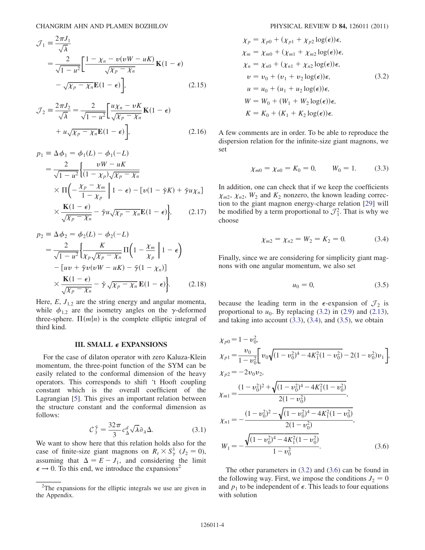$$
\mathcal{J}_1 = \frac{2\pi J_1}{\sqrt{\lambda}}
$$
  
= 
$$
\frac{2}{\sqrt{1 - u^2}} \left[ \frac{1 - \chi_n - v(vW - uK)}{\sqrt{\chi_p - \chi_n}} \mathbf{K} (1 - \epsilon) - \sqrt{\chi_p - \chi_n} \mathbf{E} (1 - \epsilon) \right]
$$
 (2.15)

$$
\mathcal{J}_2 = \frac{2\pi J_2}{\sqrt{\lambda}} = \frac{2}{\sqrt{1 - u^2}} \left[ \frac{u\chi_n - vK}{\sqrt{\chi_p - \chi_n}} \mathbf{K} (1 - \epsilon) + u\sqrt{\chi_p - \chi_n} \mathbf{E} (1 - \epsilon) \right],
$$
\n(2.16)

$$
p_1 \equiv \Delta \phi_1 = \phi_1(L) - \phi_1(-L)
$$
  
= 
$$
\frac{2}{\sqrt{1 - u^2}} \left\{ \frac{vW - uK}{(1 - \chi_p)\sqrt{\chi_p - \chi_n}} \right\}
$$
  

$$
\times \Pi \left( -\frac{\chi_p - \chi_m}{1 - \chi_p} \middle| 1 - \epsilon \right) - \left[ v(1 - \tilde{\gamma}K) + \tilde{\gamma}u\chi_n \right]
$$
  

$$
\times \frac{\mathbf{K}(1 - \epsilon)}{\sqrt{\chi_p - \chi_n}} - \tilde{\gamma}u\sqrt{\chi_p - \chi_n}\mathbf{E}(1 - \epsilon) \right\}, \qquad (2.17)
$$

$$
p_2 \equiv \Delta \phi_2 = \phi_2(L) - \phi_2(-L)
$$
  
= 
$$
\frac{2}{\sqrt{1 - u^2}} \left\{ \frac{K}{\chi_p \sqrt{\chi_p - \chi_n}} \Pi \left( 1 - \frac{\chi_m}{\chi_p} \middle| 1 - \epsilon \right) - \left[ uv + \tilde{\gamma}v(vW - uK) - \tilde{\gamma}(1 - \chi_n) \right] \right\}
$$
  

$$
\times \frac{K(1 - \epsilon)}{\sqrt{\chi_p - \chi_n}} - \tilde{\gamma} \sqrt{\chi_p - \chi_n} \mathbf{E}(1 - \epsilon) \right\}.
$$
 (2.18)

Here,  $E$ ,  $J_{1,2}$  are the string energy and angular momenta, while  $\phi_{1,2}$  are the isometry angles on the  $\gamma$ -deformed three-sphere.  $\Pi(m|n)$  is the complete elliptic integral of third kind.

#### III. SMALL  $\epsilon$  EXPANSIONS

<span id="page-3-0"></span>For the case of dilaton operator with zero Kaluza-Klein momentum, the three-point function of the SYM can be easily related to the conformal dimension of the heavy operators. This corresponds to shift 't Hooft coupling constant which is the overall coefficient of the Lagrangian [[5\]](#page-5-7). This gives an important relation between the structure constant and the conformal dimension as follows:

$$
\mathcal{C}_{3}^{\tilde{\gamma}} = \frac{32\pi}{3} c_{\Delta}^{d} \sqrt{\lambda} \partial_{\lambda} \Delta. \tag{3.1}
$$

<span id="page-3-6"></span>We want to show here that this relation holds also for the case of finite-size giant magnons on  $R_t \times S_\gamma^3$  ( $J_2 = 0$ ),<br>assuming that  $\Delta = F - I$  and considering the limit assuming that  $\Delta = E - J_1$ , and considering the limit  $\epsilon \rightarrow 0$ . To this end, we introduce the expansions<sup>2</sup>

<span id="page-3-1"></span>
$$
\chi_p = \chi_{p0} + (\chi_{p1} + \chi_{p2} \log(\epsilon))\epsilon,
$$
  
\n
$$
\chi_m = \chi_{m0} + (\chi_{m1} + \chi_{m2} \log(\epsilon))\epsilon,
$$
  
\n
$$
\chi_n = \chi_{n0} + (\chi_{n1} + \chi_{n2} \log(\epsilon))\epsilon,
$$
  
\n
$$
\upsilon = \upsilon_0 + (\upsilon_1 + \upsilon_2 \log(\epsilon))\epsilon,
$$
  
\n
$$
\upsilon = u_0 + (u_1 + u_2 \log(\epsilon))\epsilon,
$$
  
\n
$$
W = W_0 + (W_1 + W_2 \log(\epsilon))\epsilon,
$$
  
\n
$$
K = K_0 + (K_1 + K_2 \log(\epsilon))\epsilon.
$$
 (3.2)

<span id="page-3-2"></span>A few comments are in order. To be able to reproduce the dispersion relation for the infinite-size giant magnons, we set

$$
\chi_{m0} = \chi_{n0} = K_0 = 0, \qquad W_0 = 1. \tag{3.3}
$$

<span id="page-3-3"></span>In addition, one can check that if we keep the coefficients  $\chi_{m2}, \chi_{n2}, W_2$  and  $K_2$  nonzero, the known leading correction to the giant magnon energy-charge relation [\[29\]](#page-6-7) will be modified by a term proportional to  $\mathcal{J}_1^2$ . That is why we choose

$$
\chi_{m2} = \chi_{n2} = W_2 = K_2 = 0. \tag{3.4}
$$

<span id="page-3-5"></span><span id="page-3-4"></span>Finally, since we are considering for simplicity giant magnons with one angular momentum, we also set

$$
u_0 = 0,\t(3.5)
$$

because the leading term in the  $\epsilon$ -expansion of  $\mathcal{J}_2$  is proportional to  $u_0$ . By replacing ([3.2](#page-3-1)) in ([2.9](#page-2-3)) and [\(2.13\)](#page-2-5), and taking into account  $(3.3)$  $(3.3)$  $(3.3)$ ,  $(3.4)$ , and  $(3.5)$ , we obtain

$$
\chi_{p0} = 1 - v_0^2,
$$
\n
$$
\chi_{p1} = \frac{v_0}{1 - v_0^2} \left[ v_0 \sqrt{(1 - v_0^2)^4 - 4K_1^2 (1 - v_0^2)} - 2(1 - v_0^2) v_1 \right],
$$
\n
$$
\chi_{p2} = -2v_0 v_2,
$$
\n
$$
\chi_{m1} = \frac{(1 - v_0^2)^2 + \sqrt{(1 - v_0^2)^4 - 4K_1^2 (1 - v_0^2)}}{2(1 - v_0^2)},
$$
\n
$$
\chi_{n1} = -\frac{(1 - v_0^2)^2 - \sqrt{(1 - v_0^2)^4 - 4K_1^2 (1 - v_0^2)}}{2(1 - v_0^2)},
$$
\n
$$
W_1 = -\frac{\sqrt{(1 - v_0^2)^4 - 4K_1^2 (1 - v_0^2)}}{1 - v_0^2}.
$$
\n(3.6)

The other parameters in ([3.2](#page-3-1)) and [\(3.6\)](#page-3-5) can be found in the following way. First, we impose the conditions  $J_2 = 0$ and  $p_1$  to be independent of  $\epsilon$ . This leads to four equations with solution

 $2^2$ The expansions for the elliptic integrals we use are given in the Appendix.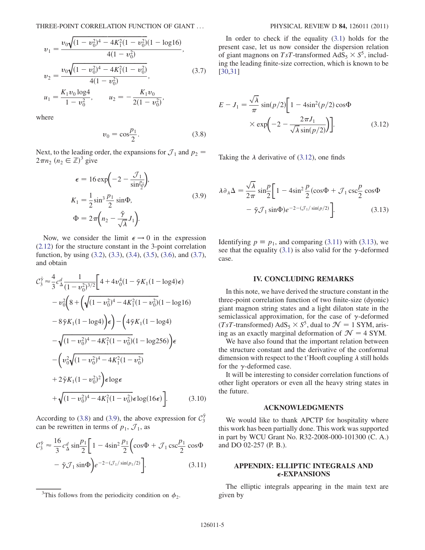<span id="page-4-6"></span>
$$
v_1 = \frac{v_0 \sqrt{(1 - v_0^2)^4 - 4K_1^2 (1 - v_0^2)} (1 - \log 16)}{4(1 - v_0^2)},
$$
  

$$
v_2 = \frac{v_0 \sqrt{(1 - v_0^2)^4 - 4K_1^2 (1 - v_0^2)}}{4(1 - v_0^2)},
$$
(3.7)

 $u_1 = \frac{K_1 v_0 \log 4}{1 - v_0^2}, \qquad u_2 = -\frac{K_1 v_0}{2(1 - v_0^2)}$  $2(1 - v_0^2)$ ;

<span id="page-4-2"></span><span id="page-4-1"></span>where

$$
v_0 = \cos \frac{p_1}{2}.
$$
 (3.8)

<span id="page-4-3"></span>Next, to the leading order, the expansions for  $\mathcal{J}_1$  and  $p_2$  =  $2\pi n_2 \ (n_2 \in \mathbb{Z})^3$  give

$$
\epsilon = 16 \exp\left(-2 - \frac{\mathcal{J}_1}{\sin \frac{\rho_1}{2}}\right),\newline K_1 = \frac{1}{2} \sin^3 \frac{\rho_1}{2} \sin \Phi,\newline \Phi = 2\pi \left(n_2 - \frac{\tilde{\gamma}}{\sqrt{\lambda}} J_1\right).
$$
\n(3.9)

Now, we consider the limit  $\epsilon \rightarrow 0$  in the expression [\(2.12](#page-2-6)) for the structure constant in the 3-point correlation function, by using [\(3.2\)](#page-3-1), [\(3.3\)](#page-3-2), [\(3.4\)](#page-3-3), [\(3.5\)](#page-3-4), [\(3.6\)](#page-3-5), and [\(3.7\)](#page-4-1), and obtain

$$
C_3^{\tilde{\gamma}} \approx \frac{4}{3} c_{\Delta}^d \frac{1}{(1 - v_0^2)^{3/2}} \Bigg[ 4 + 4v_0^4 (1 - \tilde{\gamma} K_1 (1 - \log 4) \epsilon) - v_0^2 \Big( 8 + \Big( \sqrt{(1 - v_0^2)^4 - 4K_1^2 (1 - v_0^2)} (1 - \log 16) - 8 \tilde{\gamma} K_1 (1 - \log 4) \Big) \epsilon \Big) - \Big( 4 \tilde{\gamma} K_1 (1 - \log 4) - \sqrt{(1 - v_0^2)^4 - 4K_1^2 (1 - v_0^2)} (1 - \log 256) \Big) \epsilon - \Big( v_0^2 \sqrt{(1 - v_0^2)^4 - 4K_1^2 (1 - v_0^2)} + 2 \tilde{\gamma} K_1 (1 - v_0^2)^2 \Big) \epsilon \log \epsilon + \sqrt{(1 - v_0^2)^4 - 4K_1^2 (1 - v_0^2)} \epsilon \log(16\epsilon) \Bigg]. \tag{3.10}
$$

<span id="page-4-5"></span>According to ([3.8](#page-4-2)) and [\(3.9\)](#page-4-3), the above expression for  $\mathcal{C}_3^{\tilde{\gamma}}$ can be rewritten in terms of  $p_1$ ,  $\mathcal{J}_1$ , as

$$
\mathcal{C}_3^{\tilde{\gamma}} \approx \frac{16}{3} c_\Delta^d \sin \frac{p_1}{2} \left[ 1 - 4 \sin^2 \frac{p_1}{2} \left( \cos \Phi + \mathcal{J}_1 \csc \frac{p_1}{2} \cos \Phi - \tilde{\gamma} \mathcal{J}_1 \sin \Phi \right) e^{-2 - (\mathcal{J}_1/\sin(p_1/2))} \right].
$$
\n(3.11)

In order to check if the equality  $(3.1)$  holds for the present case, let us now consider the dispersion relation of giant magnons on TsT-transformed  $AdS_5 \times S^5$ , including the leading finite-size correction, which is known to be [\[30](#page-6-8)[,31\]](#page-6-9)

<span id="page-4-4"></span>
$$
E - J_1 = \frac{\sqrt{\lambda}}{\pi} \sin(p/2) \left[ 1 - 4\sin^2(p/2)\cos\Phi \right]
$$

$$
\times \exp\left(-2 - \frac{2\pi J_1}{\sqrt{\lambda}\sin(p/2)}\right) \right].
$$
(3.12)

Taking the  $\lambda$  derivative of ([3.12](#page-4-4)), one finds

<span id="page-4-0"></span>
$$
\lambda \partial_{\lambda} \Delta = \frac{\sqrt{\lambda}}{2\pi} \sin \frac{p}{2} \left[ 1 - 4\sin^2 \frac{p}{2} (\cos \Phi + \mathcal{J}_1 \csc \frac{p}{2} \cos \Phi - \tilde{\gamma} \mathcal{J}_1 \sin \Phi) e^{-2 - (\mathcal{J}_1 / \sin(p/2))} \right].
$$
 (3.13)

Identifying  $p \equiv p_1$ , and comparing ([3.11](#page-4-5)) with ([3.13\)](#page-4-6), we see that the equality [\(3.1\)](#page-3-6) is also valid for the  $\gamma$ -deformed case.

### IV. CONCLUDING REMARKS

In this note, we have derived the structure constant in the three-point correlation function of two finite-size (dyonic) giant magnon string states and a light dilaton state in the semiclassical approximation, for the case of  $\gamma$ -deformed (TsT-transformed) AdS<sub>5</sub>  $\times$  S<sup>5</sup>, dual to  $\mathcal{N} = 1$  SYM, arising as an exactly marginal deformation of  $\mathcal{N} = 4$  SYM.

We have also found that the important relation between the structure constant and the derivative of the conformal dimension with respect to the t'Hooft coupling  $\lambda$  still holds for the  $\gamma$ -deformed case.

It will be interesting to consider correlation functions of other light operators or even all the heavy string states in the future.

### ACKNOWLEDGMENTS

We would like to thank APCTP for hospitality where this work has been partially done. This work was supported in part by WCU Grant No. R32-2008-000-101300 (C. A.) and DO 02-257 (P. B.).

# APPENDIX: ELLIPTIC INTEGRALS AND  $\epsilon$ -EXPANSIONS

The elliptic integrals appearing in the main text are

<sup>&</sup>lt;sup>3</sup>This follows from the periodicity condition on  $\phi_2$ . given by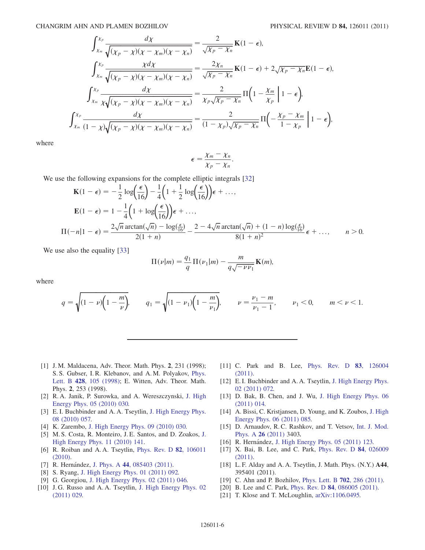$$
\int_{\chi_m}^{\chi_p} \frac{d\chi}{\sqrt{(\chi_p - \chi)(\chi - \chi_m)(\chi - \chi_n)}} = \frac{2}{\sqrt{\chi_p - \chi_n}} \mathbf{K}(1 - \epsilon),
$$
\n
$$
\int_{\chi_m}^{\chi_p} \frac{\chi d\chi}{\sqrt{(\chi_p - \chi)(\chi - \chi_m)(\chi - \chi_n)}} = \frac{2\chi_n}{\sqrt{\chi_p - \chi_n}} \mathbf{K}(1 - \epsilon) + 2\sqrt{\chi_p - \chi_n} \mathbf{E}(1 - \epsilon),
$$
\n
$$
\int_{\chi_m}^{\chi_p} \frac{d\chi}{\chi \sqrt{(\chi_p - \chi)(\chi - \chi_m)(\chi - \chi_n)}} = \frac{2}{\chi_p \sqrt{\chi_p - \chi_n}} \Pi\left(1 - \frac{\chi_m}{\chi_p}\middle|1 - \epsilon\right),
$$
\n
$$
\int_{\chi_m}^{\chi_p} \frac{d\chi}{(1 - \chi)\sqrt{(\chi_p - \chi)(\chi - \chi_m)(\chi - \chi_n)}} = \frac{2}{(1 - \chi_p)\sqrt{\chi_p - \chi_n}} \Pi\left(-\frac{\chi_p - \chi_m}{1 - \chi_p}\middle|1 - \epsilon\right),
$$

where

$$
\epsilon = \frac{\chi_m - \chi_n}{\chi_p - \chi_n}.
$$

We use the following expansions for the complete elliptic integrals [[32](#page-6-10)]

$$
\mathbf{K}(1-\epsilon) = -\frac{1}{2}\log\left(\frac{\epsilon}{16}\right) - \frac{1}{4}\left(1 + \frac{1}{2}\log\left(\frac{\epsilon}{16}\right)\right)\epsilon + \dots,
$$
\n
$$
\mathbf{E}(1-\epsilon) = 1 - \frac{1}{4}\left(1 + \log\left(\frac{\epsilon}{16}\right)\right)\epsilon + \dots,
$$
\n
$$
\Pi(-n|1-\epsilon) = \frac{2\sqrt{n}\arctan(\sqrt{n}) - \log\left(\frac{\epsilon}{16}\right)}{2(1+n)} - \frac{2 - 4\sqrt{n}\arctan(\sqrt{n}) + (1-n)\log\left(\frac{\epsilon}{16}\right)}{8(1+n)^2}\epsilon + \dots, \qquad n > 0.
$$

We use also the equality [\[33\]](#page-6-11)

$$
\Pi(\nu|m) = \frac{q_1}{q} \Pi(\nu_1|m) - \frac{m}{q\sqrt{-\nu \nu_1}} \mathbf{K}(m),
$$

where

$$
q = \sqrt{(1 - \nu)\left(1 - \frac{m}{\nu}\right)}, \qquad q_1 = \sqrt{(1 - \nu_1)\left(1 - \frac{m}{\nu_1}\right)}, \qquad \nu = \frac{\nu_1 - m}{\nu_1 - 1}, \qquad \nu_1 < 0, \qquad m < \nu < 1.
$$

- <span id="page-5-0"></span>[1] J. M. Maldacena, Adv. Theor. Math. Phys. 2, 231 (1998); S. S. Gubser, I. R. Klebanov, and A. M. Polyakov, [Phys.](http://dx.doi.org/10.1016/S0370-2693(98)00377-3) Lett. B 428[, 105 \(1998\);](http://dx.doi.org/10.1016/S0370-2693(98)00377-3) E. Witten, Adv. Theor. Math. Phys. 2, 253 (1998).
- <span id="page-5-2"></span><span id="page-5-1"></span>[2] R. A. Janik, P. Surowka, and A. Wereszczynski, [J. High](http://dx.doi.org/10.1007/JHEP05(2010)030) [Energy Phys. 05 \(2010\) 030.](http://dx.doi.org/10.1007/JHEP05(2010)030)
- <span id="page-5-3"></span>[3] E. I. Buchbinder and A. A. Tseytlin, [J. High Energy Phys.](http://dx.doi.org/10.1007/JHEP08(2010)057) [08 \(2010\) 057.](http://dx.doi.org/10.1007/JHEP08(2010)057)
- <span id="page-5-7"></span>[4] K. Zarembo, [J. High Energy Phys. 09 \(2010\) 030.](http://dx.doi.org/10.1007/JHEP09(2010)030)
- <span id="page-5-4"></span>[5] M. S. Costa, R. Monteiro, J. E. Santos, and D. Zoakos, [J.](http://dx.doi.org/10.1007/JHEP11(2010)141) [High Energy Phys. 11 \(2010\) 141.](http://dx.doi.org/10.1007/JHEP11(2010)141)
- [6] R. Roiban and A. A. Tseytlin, [Phys. Rev. D](http://dx.doi.org/10.1103/PhysRevD.82.106011) 82, 106011 [\(2010\)](http://dx.doi.org/10.1103/PhysRevD.82.106011).
- [7] R. Hernández, J. Phys. A 44[, 085403 \(2011\)](http://dx.doi.org/10.1088/1751-8113/44/8/085403).
- [8] S. Ryang, [J. High Energy Phys. 01 \(2011\) 092.](http://dx.doi.org/10.1007/JHEP01(2011)092)
- [9] G. Georgiou, [J. High Energy Phys. 02 \(2011\) 046.](http://dx.doi.org/10.1007/JHEP02(2011)046)
- [10] J.G. Russo and A.A. Tseytlin, [J. High Energy Phys. 02](http://dx.doi.org/10.1007/JHEP02(2011)029) [\(2011\) 029.](http://dx.doi.org/10.1007/JHEP02(2011)029)
- [11] C. Park and B. Lee, [Phys. Rev. D](http://dx.doi.org/10.1103/PhysRevD.83.126004) **83**, 126004 [\(2011\)](http://dx.doi.org/10.1103/PhysRevD.83.126004).
- [12] E.I. Buchbinder and A.A. Tseytlin, [J. High Energy Phys.](http://dx.doi.org/10.1007/JHEP02(2011)072) [02 \(2011\) 072.](http://dx.doi.org/10.1007/JHEP02(2011)072)
- [13] D. Bak, B. Chen, and J. Wu, [J. High Energy Phys. 06](http://dx.doi.org/10.1007/JHEP06(2011)014) [\(2011\) 014.](http://dx.doi.org/10.1007/JHEP06(2011)014)
- [14] A. Bissi, C. Kristjansen, D. Young, and K. Zoubos, [J. High](http://dx.doi.org/10.1007/JHEP06(2011)085) [Energy Phys. 06 \(2011\) 085.](http://dx.doi.org/10.1007/JHEP06(2011)085)
- <span id="page-5-6"></span>[15] D. Arnaudov, R. C. Rashkov, and T. Vetsov, [Int. J. Mod.](http://dx.doi.org/10.1142/S0217751X11053869) [Phys. A](http://dx.doi.org/10.1142/S0217751X11053869) 26 (2011) 3403.
- [16] R. Hernández, [J. High Energy Phys. 05 \(2011\) 123.](http://dx.doi.org/10.1007/JHEP05(2011)123)
- [17] X. Bai, B. Lee, and C. Park, [Phys. Rev. D](http://dx.doi.org/10.1103/PhysRevD.84.026009) 84, 026009 [\(2011\)](http://dx.doi.org/10.1103/PhysRevD.84.026009).
- <span id="page-5-5"></span>[18] L. F. Alday and A. A. Tseytlin, J. Math. Phys. (N.Y.) A44, 395401 (2011).
- [19] C. Ahn and P. Bozhilov, [Phys. Lett. B](http://dx.doi.org/10.1016/j.physletb.2011.07.011) **702**, 286 (2011).
- [20] B. Lee and C. Park, Phys. Rev. D **84**[, 086005 \(2011\).](http://dx.doi.org/10.1103/PhysRevD.84.086005)
- [21] T. Klose and T. McLoughlin, [arXiv:1106.0495.](http://arXiv.org/abs/1106.0495)